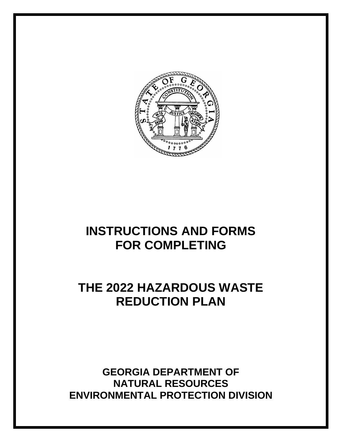

# **INSTRUCTIONS AND FORMS FOR COMPLETING**

# **THE 2022 HAZARDOUS WASTE REDUCTION PLAN**

**GEORGIA DEPARTMENT OF NATURAL RESOURCES ENVIRONMENTAL PROTECTION DIVISION**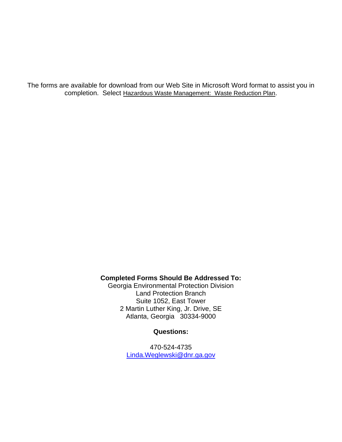The forms are available for download from our Web Site in Microsoft Word format to assist you in completion. Select Hazardous Waste Management: Waste Reduction Plan.

### **Completed Forms Should Be Addressed To:**

Georgia Environmental Protection Division Land Protection Branch Suite 1052, East Tower 2 Martin Luther King, Jr. Drive, SE Atlanta, Georgia 30334-9000

### **Questions:**

470-524-4735 [Linda.Weglewski@dnr.ga.gov](mailto:Linda.Weglewski@dnr.ga.gov)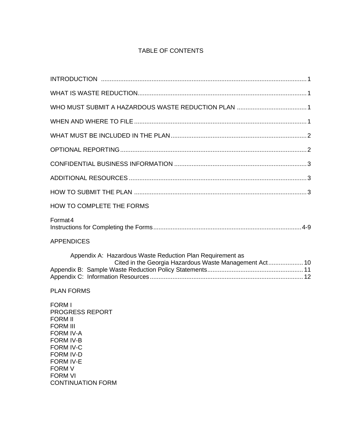### TABLE OF CONTENTS

| <b>HOW TO COMPLETE THE FORMS</b>                                                                                                                                                                                                                |
|-------------------------------------------------------------------------------------------------------------------------------------------------------------------------------------------------------------------------------------------------|
| Format <sub>4</sub>                                                                                                                                                                                                                             |
| <b>APPENDICES</b>                                                                                                                                                                                                                               |
| Appendix A: Hazardous Waste Reduction Plan Requirement as                                                                                                                                                                                       |
| <b>PLAN FORMS</b>                                                                                                                                                                                                                               |
| <b>FORM I</b><br><b>PROGRESS REPORT</b><br><b>FORM II</b><br><b>FORM III</b><br><b>FORM IV-A</b><br><b>FORM IV-B</b><br><b>FORM IV-C</b><br><b>FORM IV-D</b><br><b>FORM IV-E</b><br><b>FORM V</b><br><b>FORM VI</b><br><b>CONTINUATION FORM</b> |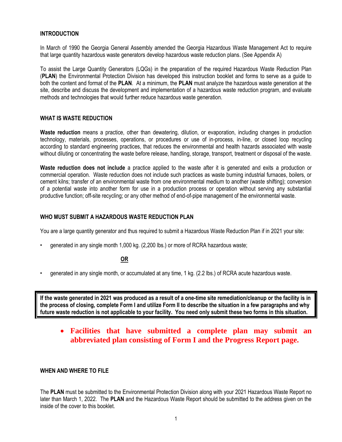#### **INTRODUCTION**

In March of 1990 the Georgia General Assembly amended the Georgia Hazardous Waste Management Act to require that large quantity hazardous waste generators develop hazardous waste reduction plans. (See Appendix A)

To assist the Large Quantity Generators (LQGs) in the preparation of the required Hazardous Waste Reduction Plan (**PLAN**) the Environmental Protection Division has developed this instruction booklet and forms to serve as a guide to both the content and format of the **PLAN**. At a minimum, the **PLAN** must analyze the hazardous waste generation at the site, describe and discuss the development and implementation of a hazardous waste reduction program, and evaluate methods and technologies that would further reduce hazardous waste generation.

#### **WHAT IS WASTE REDUCTION**

**Waste reduction** means a practice, other than dewatering, dilution, or evaporation, including changes in production technology, materials, processes, operations, or procedures or use of in-process, in-line, or closed loop recycling according to standard engineering practices, that reduces the environmental and health hazards associated with waste without diluting or concentrating the waste before release, handling, storage, transport, treatment or disposal of the waste.

**Waste reduction does not include** a practice applied to the waste after it is generated and exits a production or commercial operation. Waste reduction does not include such practices as waste burning industrial furnaces, boilers, or cement kilns; transfer of an environmental waste from one environmental medium to another (waste shifting); conversion of a potential waste into another form for use in a production process or operation without serving any substantial productive function; off-site recycling; or any other method of end-of-pipe management of the environmental waste.

#### **WHO MUST SUBMIT A HAZARDOUS WASTE REDUCTION PLAN**

You are a large quantity generator and thus required to submit a Hazardous Waste Reduction Plan if in 2021 your site:

• generated in any single month 1,000 kg. (2,200 lbs.) or more of RCRA hazardous waste;

#### **OR**

• generated in any single month, or accumulated at any time, 1 kg. (2.2 lbs.) of RCRA acute hazardous waste.

**If the waste generated in 2021 was produced as a result of a one-time site remediation/cleanup or the facility is in the process of closing, complete Form I and utilize Form II to describe the situation in a few paragraphs and why future waste reduction is not applicable to your facility. You need only submit these two forms in this situation.**

### • **Facilities that have submitted a complete plan may submit an abbreviated plan consisting of Form I and the Progress Report page.**

#### **WHEN AND WHERE TO FILE**

The **PLAN** must be submitted to the Environmental Protection Division along with your 2021 Hazardous Waste Report no later than March 1, 2022. The **PLAN** and the Hazardous Waste Report should be submitted to the address given on the inside of the cover to this booklet.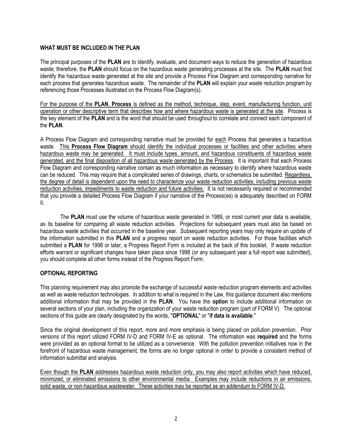#### **WHAT MUST BE INCLUDED IN THE PLAN**

The principal purposes of the **PLAN** are to identify, evaluate, and document ways to reduce the generation of hazardous waste; therefore, the **PLAN** should focus on the hazardous waste generating processes at the site. The **PLAN** must first identify the hazardous waste generated at the site and provide a Process Flow Diagram and corresponding narrative for each process that generates hazardous waste. The remainder of the **PLAN** will explain your waste reduction program by referencing those Processes illustrated on the Process Flow Diagram(s).

For the purpose of the **PLAN**, **Process** is defined as the method, technique, step, event, manufacturing function, unit operation or other descriptive term that describes how and where hazardous waste is generated at the site. Process is the key element of the **PLAN** and is the word that should be used throughout to correlate and connect each component of the **PLAN**.

A Process Flow Diagram and corresponding narrative must be provided for each Process that generates a hazardous waste. This **Process Flow Diagram** should identify the individual processes or facilities and other activities where hazardous waste may be generated. It must include types, amount, and hazardous constituents of hazardous waste generated, and the final disposition of all hazardous waste generated by the Process. It is important that each Process Flow Diagram and corresponding narrative contain as much information as necessary to identify where hazardous waste can be reduced. This may require that a complicated series of drawings, charts, or schematics be submitted. Regardless, the degree of detail is dependent upon the need to characterize your waste reduction activities, including previous waste reduction activities, impediments to waste reduction and future activities. It is not necessarily required or recommended that you provide a detailed Process Flow Diagram if your narrative of the Process(es) is adequately described on FORM II.

The **PLAN** must use the volume of hazardous waste generated in 1989, or most current year data is available, as its baseline for comparing all waste reduction activities. Projections for subsequent years must also be based on hazardous waste activities that occurred in the baseline year. Subsequent reporting years may only require an update of the information submitted in this **PLAN** and a progress report on waste reduction activities. For those facilities which submitted a **PLAN** for 1998 or later, a Progress Report Form is included at the back of this booklet. If waste reduction efforts warrant or significant changes have taken place since 1998 (or any subsequent year a full report was submitted), you should complete all other forms instead of the Progress Report Form.

#### **OPTIONAL REPORTING**

This planning requirement may also promote the exchange of successful waste reduction program elements and activities as well as waste reduction technologies. In addition to what is required in the Law, this guidance document also mentions additional information that may be provided in the **PLAN**. You have the **option** to include additional information on several sections of your plan, including the organization of your waste reduction program (part of FORM V). The optional sections of this guide are clearly designated by the words, "**OPTIONAL**" or "**if data is available**."

Since the original development of this report, more and more emphasis is being placed on pollution prevention. Prior versions of this report utilized FORM IV-D and FORM IV-E as optional. The information was **required** and the forms were provided as an optional format to be utilized as a convenience. With the pollution prevention initiatives now in the forefront of hazardous waste management, the forms are no longer optional in order to provide a consistent method of information submittal and analysis.

Even though the **PLAN** addresses hazardous waste reduction only, you may also report activities which have reduced, minimized, or eliminated emissions to other environmental media. Examples may include reductions in air emissions, solid waste, or non-hazardous wastewater. These activities may be reported as an addendum to FORM IV-D.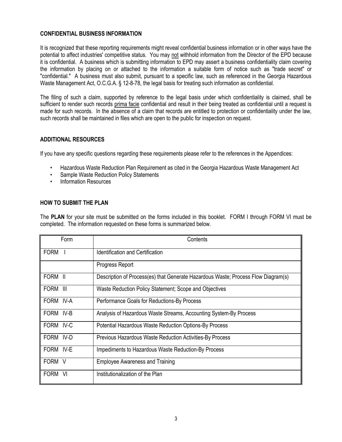#### **CONFIDENTIAL BUSINESS INFORMATION**

It is recognized that these reporting requirements might reveal confidential business information or in other ways have the potential to affect industries' competitive status. You may not withhold information from the Director of the EPD because it is confidential. A business which is submitting information to EPD may assert a business confidentiality claim covering the information by placing on or attached to the information a suitable form of notice such as "trade secret" or "confidential." A business must also submit, pursuant to a specific law, such as referenced in the Georgia Hazardous Waste Management Act, O.C.G.A. § 12-8-78, the legal basis for treating such information as confidential.

The filing of such a claim, supported by reference to the legal basis under which confidentiality is claimed, shall be sufficient to render such records prima facie confidential and result in their being treated as confidential until a request is made for such records. In the absence of a claim that records are entitled to protection or confidentiality under the law, such records shall be maintained in files which are open to the public for inspection on request.

#### **ADDITIONAL RESOURCES**

If you have any specific questions regarding these requirements please refer to the references in the Appendices:

- Hazardous Waste Reduction Plan Requirement as cited in the Georgia Hazardous Waste Management Act
- Sample Waste Reduction Policy Statements
- Information Resources

#### **HOW TO SUBMIT THE PLAN**

The **PLAN** for your site must be submitted on the forms included in this booklet. FORM I through FORM VI must be completed. The information requested on these forms is summarized below.

| Form        | Contents                                                                          |
|-------------|-----------------------------------------------------------------------------------|
| <b>FORM</b> | <b>Identification and Certification</b>                                           |
|             | Progress Report                                                                   |
| FORM II     | Description of Process(es) that Generate Hazardous Waste; Process Flow Diagram(s) |
| FORM III    | Waste Reduction Policy Statement; Scope and Objectives                            |
| FORM IV-A   | Performance Goals for Reductions-By Process                                       |
| FORM IV-B   | Analysis of Hazardous Waste Streams, Accounting System-By Process                 |
| FORM IV-C   | <b>Potential Hazardous Waste Reduction Options-By Process</b>                     |
| FORM IV-D   | <b>Previous Hazardous Waste Reduction Activities-By Process</b>                   |
| FORM IV-E   | Impediments to Hazardous Waste Reduction-By Process                               |
| FORM V      | <b>Employee Awareness and Training</b>                                            |
| FORM VI     | Institutionalization of the Plan                                                  |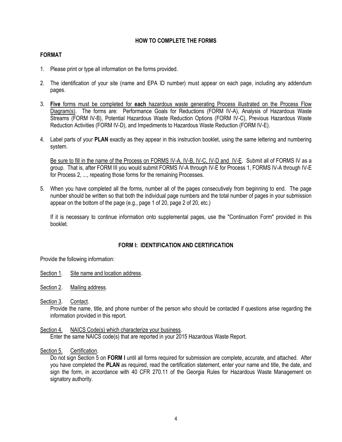#### **HOW TO COMPLETE THE FORMS**

#### **FORMAT**

- 1. Please print or type all information on the forms provided.
- 2. The identification of your site (name and EPA ID number) must appear on each page, including any addendum pages.
- 3. **Five** forms must be completed for **each** hazardous waste generating Process illustrated on the Process Flow Diagram(s). The forms are: Performance Goals for Reductions (FORM IV-A), Analysis of Hazardous Waste Streams (FORM IV-B), Potential Hazardous Waste Reduction Options (FORM IV-C), Previous Hazardous Waste Reduction Activities (FORM IV-D), and Impediments to Hazardous Waste Reduction (FORM IV-E).
- 4. Label parts of your **PLAN** exactly as they appear in this instruction booklet, using the same lettering and numbering system.

Be sure to fill in the name of the Process on FORMS IV-A, IV-B, IV-C, IV-D and IV-E. Submit all of FORMS IV as a group. That is, after FORM III you would submit FORMS IV-A through IV-E for Process 1, FORMS IV-A through IV-E for Process 2, ..., repeating those forms for the remaining Processes.

5. When you have completed all the forms, number all of the pages consecutively from beginning to end. The page number should be written so that both the individual page numbers and the total number of pages in your submission appear on the bottom of the page (e.g., page 1 of 20, page 2 of 20, etc.)

If it is necessary to continue information onto supplemental pages, use the "Continuation Form" provided in this booklet.

#### **FORM I: IDENTIFICATION AND CERTIFICATION**

Provide the following information:

- Section 1. Site name and location address.
- Section 2. Mailing address.

Section 3. Contact.

Provide the name, title, and phone number of the person who should be contacted if questions arise regarding the information provided in this report.

#### Section 4. NAICS Code(s) which characterize your business.

Enter the same NAICS code(s) that are reported in your 2015 Hazardous Waste Report.

Section 5. Certification.

Do not sign Section 5 on **FORM I** until all forms required for submission are complete, accurate, and attached. After you have completed the **PLAN** as required, read the certification statement, enter your name and title, the date, and sign the form, in accordance with 40 CFR 270.11 of the Georgia Rules for Hazardous Waste Management on signatory authority.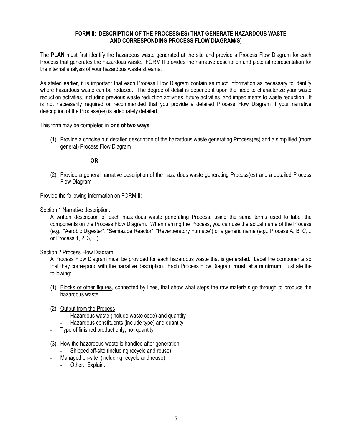#### **FORM II: DESCRIPTION OF THE PROCESS(ES) THAT GENERATE HAZARDOUS WASTE AND CORRESPONDING PROCESS FLOW DIAGRAM(S)**

The **PLAN** must first identify the hazardous waste generated at the site and provide a Process Flow Diagram for each Process that generates the hazardous waste. FORM II provides the narrative description and pictorial representation for the internal analysis of your hazardous waste streams.

As stated earlier, it is important that each Process Flow Diagram contain as much information as necessary to identify where hazardous waste can be reduced. The degree of detail is dependent upon the need to characterize your waste reduction activities, including previous waste reduction activities, future activities, and impediments to waste reduction. It is not necessarily required or recommended that you provide a detailed Process Flow Diagram if your narrative description of the Process(es) is adequately detailed.

This form may be completed in **one of two ways**:

(1) Provide a concise but detailed description of the hazardous waste generating Process(es) and a simplified (more general) Process Flow Diagram

#### **OR**

(2) Provide a general narrative description of the hazardous waste generating Process(es) and a detailed Process Flow Diagram

Provide the following information on FORM II:

Section 1.Narrative description.

A written description of each hazardous waste generating Process, using the same terms used to label the components on the Process Flow Diagram. When naming the Process, you can use the actual name of the Process (e.g., "Aerobic Digester", "Semiazide Reactor", "Reverberatory Furnace") or a generic name (e.g., Process A, B, C,... or Process 1, 2, 3, ...).

#### Section 2.Process Flow Diagram.

A Process Flow Diagram must be provided for each hazardous waste that is generated. Label the components so that they correspond with the narrative description. Each Process Flow Diagram **must, at a minimum**, illustrate the following:

(1) Blocks or other figures, connected by lines, that show what steps the raw materials go through to produce the hazardous waste.

#### (2) Output from the Process

- Hazardous waste (include waste code) and quantity
- Hazardous constituents (include type) and quantity
- Type of finished product only, not quantity
- (3) How the hazardous waste is handled after generation
	- Shipped off-site (including recycle and reuse)
- Managed on-site (including recycle and reuse)
	- Other. Explain.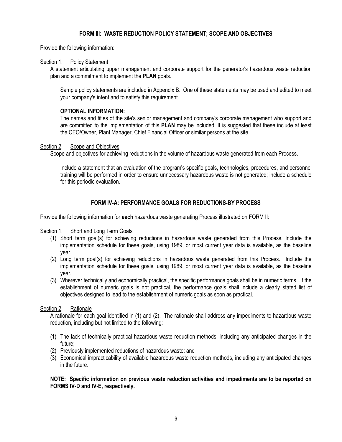#### **FORM III: WASTE REDUCTION POLICY STATEMENT; SCOPE AND OBJECTIVES**

Provide the following information:

#### Section 1. Policy Statement

A statement articulating upper management and corporate support for the generator's hazardous waste reduction plan and a commitment to implement the **PLAN** goals.

Sample policy statements are included in Appendix B. One of these statements may be used and edited to meet your company's intent and to satisfy this requirement.

#### **OPTIONAL INFORMATION:**

The names and titles of the site's senior management and company's corporate management who support and are committed to the implementation of this **PLAN** may be included. It is suggested that these include at least the CEO/Owner, Plant Manager, Chief Financial Officer or similar persons at the site.

#### Section 2. Scope and Objectives

Scope and objectives for achieving reductions in the volume of hazardous waste generated from each Process.

Include a statement that an evaluation of the program's specific goals, technologies, procedures, and personnel training will be performed in order to ensure unnecessary hazardous waste is not generated; include a schedule for this periodic evaluation.

#### **FORM IV-A: PERFORMANCE GOALS FOR REDUCTIONS-BY PROCESS**

Provide the following information for **each** hazardous waste generating Process illustrated on FORM II:

#### Section 1. Short and Long Term Goals

- (1) Short term goal(s) for achieving reductions in hazardous waste generated from this Process. Include the implementation schedule for these goals, using 1989, or most current year data is available, as the baseline year.
- (2) Long term goal(s) for achieving reductions in hazardous waste generated from this Process. Include the implementation schedule for these goals, using 1989, or most current year data is available, as the baseline year.
- (3) Wherever technically and economically practical, the specific performance goals shall be in numeric terms. If the establishment of numeric goals is not practical, the performance goals shall include a clearly stated list of objectives designed to lead to the establishment of numeric goals as soon as practical.

#### Section 2. Rationale

A rationale for each goal identified in (1) and (2). The rationale shall address any impediments to hazardous waste reduction, including but not limited to the following:

- (1) The lack of technically practical hazardous waste reduction methods, including any anticipated changes in the future;
- (2) Previously implemented reductions of hazardous waste; and
- (3) Economical impracticability of available hazardous waste reduction methods, including any anticipated changes in the future.

**NOTE: Specific information on previous waste reduction activities and impediments are to be reported on FORMS IV-D and IV-E, respectively.**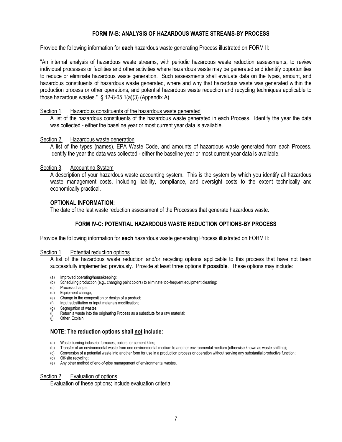#### **FORM IV-B: ANALYSIS OF HAZARDOUS WASTE STREAMS-BY PROCESS**

Provide the following information for **each** hazardous waste generating Process illustrated on FORM II:

"An internal analysis of hazardous waste streams, with periodic hazardous waste reduction assessments, to review individual processes or facilities and other activities where hazardous waste may be generated and identify opportunities to reduce or eliminate hazardous waste generation. Such assessments shall evaluate data on the types, amount, and hazardous constituents of hazardous waste generated, where and why that hazardous waste was generated within the production process or other operations, and potential hazardous waste reduction and recycling techniques applicable to those hazardous wastes." § 12-8-65.1(a)(3) (Appendix A)

#### Section 1. Hazardous constituents of the hazardous waste generated

A list of the hazardous constituents of the hazardous waste generated in each Process. Identify the year the data was collected - either the baseline year or most current year data is available.

#### Section 2. Hazardous waste generation

A list of the types (names), EPA Waste Code, and amounts of hazardous waste generated from each Process. Identify the year the data was collected - either the baseline year or most current year data is available.

#### Section 3. Accounting System

A description of your hazardous waste accounting system. This is the system by which you identify all hazardous waste management costs, including liability, compliance, and oversight costs to the extent technically and economically practical.

#### **OPTIONAL INFORMATION:**

The date of the last waste reduction assessment of the Processes that generate hazardous waste.

#### **FORM IV-C: POTENTIAL HAZARDOUS WASTE REDUCTION OPTIONS-BY PROCESS**

Provide the following information for **each** hazardous waste generating Process illustrated on FORM II:

#### Section 1. Potential reduction options

A list of the hazardous waste reduction and/or recycling options applicable to this process that have not been successfully implemented previously. Provide at least three options **if possible**. These options may include:

- (a) Improved operating/housekeeping;
- (b) Scheduling production (e.g., changing paint colors) to eliminate too-frequent equipment cleaning;
- (c) Process change;
- (d) Equipment change;
- (e) Change in the composition or design of a product;
- (f) Input substitution or input materials modification;
- (g) Segregation of wastes;
- $\begin{pmatrix} i \\ i \end{pmatrix}$  Return a waste into the originating Process as a substitute for a raw material;<br> $\begin{pmatrix} i \\ i \end{pmatrix}$  Other Evolain
- Other. Explain.

#### **NOTE: The reduction options shall not include:**

- (a) Waste burning industrial furnaces, boilers, or cement kilns;
- (b) Transfer of an environmental waste from one environmental medium to another environmental medium (otherwise known as waste shifting);
- (c) Conversion of a potential waste into another form for use in a production process or operation without serving any substantial productive function;
- (d) Off-site recycling;
- $\overrightarrow{e}$  Any other method of end-of-pipe management of environmental wastes.

#### Section 2. Evaluation of options

Evaluation of these options; include evaluation criteria.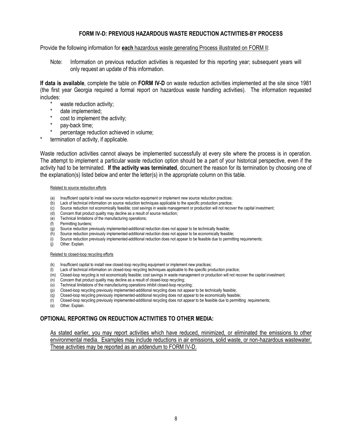#### **FORM IV-D: PREVIOUS HAZARDOUS WASTE REDUCTION ACTIVITIES-BY PROCESS**

#### Provide the following information for **each** hazardous waste generating Process illustrated on FORM II:

Note: Information on previous reduction activities is requested for this reporting year; subsequent years will only request an update of this information.

**If data is available**, complete the table on **FORM IV-D** on waste reduction activities implemented at the site since 1981 (the first year Georgia required a formal report on hazardous waste handling activities). The information requested includes:

- \* waste reduction activity;
- \* date implemented;<br>\* cost to implement t
- cost to implement the activity;
- pay-back time;
- percentage reduction achieved in volume;
- termination of activity, if applicable.

Waste reduction activities cannot always be implemented successfully at every site where the process is in operation. The attempt to implement a particular waste reduction option should be a part of your historical perspective, even if the activity had to be terminated. **If the activity was terminated**, document the reason for its termination by choosing one of the explanation(s) listed below and enter the letter(s) in the appropriate column on this table.

#### Related to source reduction efforts

- (a) Insufficient capital to install new source reduction equipment or implement new source reduction practices;
- (b) Lack of technical information on source reduction techniques applicable to the specific production practice;
- (c) Source reduction not economically feasible; cost savings in waste management or production will not recover the capital investment;
- (d) Concern that product quality may decline as a result of source reduction;
- (e) Technical limitations of the manufacturing operations;
- (f) Permitting burdens;<br>(g) Source reduction pr
- Source reduction previously implemented-additional reduction does not appear to be technically feasible;
- (h) Source reduction previously implemented-additional reduction does not appear to be economically feasible;
- (i) Source reduction previously implemented-additional reduction does not appear to be feasible due to permitting requirements;
- (j) Other. Explain.

#### Related to closed-loop recycling efforts

- (k) Insufficient capital to install new closed-loop recycling equipment or implement new practices;
- $($ ) Lack of technical information on closed-loop recycling techniques applicable to the specific production practice;
- (m) Closed-loop recycling is not economically feasible; cost savings in waste management or production will not recover the capital investment;
- (n) Concern that product quality may decline as a result of closed-loop recycling;
- (o) Technical limitations of the manufacturing operations inhibit closed-loop recycling;
- (p) Closed-loop recycling previously implemented-additional recycling does not appear to be technically feasible;
- (q) Closed-loop recycling previously implemented-additional recycling does not appear to be economically feasible;
- (r) Closed-loop recycling previously implemented-additional recycling does not appear to be feasible due to permitting requirements;
- (s) Other. Explain.

### **OPTIONAL REPORTING ON REDUCTION ACTIVITIES TO OTHER MEDIA:**

As stated earlier, you may report activities which have reduced, minimized, or eliminated the emissions to other environmental media. Examples may include reductions in air emissions, solid waste, or non-hazardous wastewater. These activities may be reported as an addendum to FORM IV-D.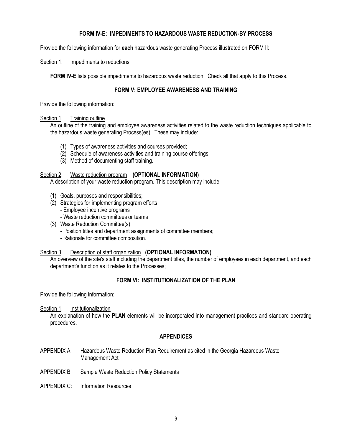#### **FORM IV-E: IMPEDIMENTS TO HAZARDOUS WASTE REDUCTION-BY PROCESS**

Provide the following information for **each** hazardous waste generating Process illustrated on FORM II:

#### Section 1. Impediments to reductions

**FORM IV-E** lists possible impediments to hazardous waste reduction. Check all that apply to this Process.

#### **FORM V: EMPLOYEE AWARENESS AND TRAINING**

Provide the following information:

#### Section 1. Training outline

An outline of the training and employee awareness activities related to the waste reduction techniques applicable to the hazardous waste generating Process(es). These may include:

- (1) Types of awareness activities and courses provided;
- (2) Schedule of awareness activities and training course offerings;
- (3) Method of documenting staff training.

#### Section 2. Waste reduction program **(OPTIONAL INFORMATION)**

A description of your waste reduction program. This description may include:

- (1) Goals, purposes and responsibilities;
- (2) Strategies for implementing program efforts
	- Employee incentive programs
	- Waste reduction committees or teams
- (3) Waste Reduction Committee(s)
	- Position titles and department assignments of committee members;
	- Rationale for committee composition.

#### Section 3. Description of staff organization **(OPTIONAL INFORMATION)**

An overview of the site's staff including the department titles, the number of employees in each department, and each department's function as it relates to the Processes;

#### **FORM VI: INSTITUTIONALIZATION OF THE PLAN**

Provide the following information:

#### Section 1. Institutionalization

An explanation of how the **PLAN** elements will be incorporated into management practices and standard operating procedures.

#### **APPENDICES**

- APPENDIX A: Hazardous Waste Reduction Plan Requirement as cited in the Georgia Hazardous Waste Management Act
- APPENDIX B: Sample Waste Reduction Policy Statements
- APPENDIX C: Information Resources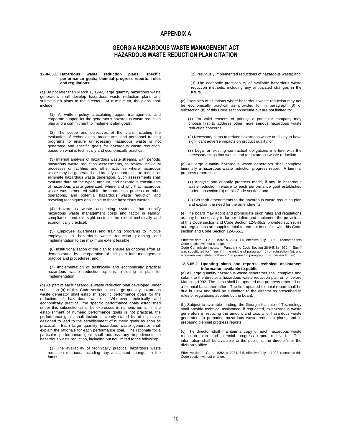#### **APPENDIX A**

#### **GEORGIA HAZARDOUS WASTE MANAGEMENT ACT HAZARDOUS WASTE REDUCTION PLAN CITATION**

#### **12-8-65.1. Hazardous waste reduction plans; specific performance goals; biennial progress reports; rules and regulations.**

(a) By not later than March 1, 1992, large quantity hazardous waste generators shall develop hazardous waste reduction plans and submit such plans to the director. At a minimum, the plans shall include:

 (1) A written policy articulating upper management and corporate support for the generator's hazardous waste reduction plan and a commitment to implement plan goals;

 (2) The scope and objectives of the plan, including the evaluation of technologies, procedures, and personnel training programs to ensure unnecessary hazardous waste is not generated and specific goals for hazardous waste reduction, based on what is technically and economically practical;

 (3) Internal analysis of hazardous waste streams, with periodic hazardous waste reduction assessments, to review individual processes or facilities and other activities where hazardous waste may be generated and identify opportunities to reduce or eliminate hazardous waste generation. Such assessments shall evaluate data on the types, amount, and hazardous constituents of hazardous waste generated, where and why that hazardous waste was generated within the production process or other operations, and potential hazardous waste reduction and recycling techniques applicable to those hazardous wastes;

 (4) Hazardous waste accounting systems that identify hazardous waste management costs and factor in liability, compliance, and oversight costs to the extent technically and economically practical;

 (5) Employee awareness and training programs to involve employees in hazardous waste reduction planning and implementation to the maximum extent feasible;

 (6) Institutionalization of the plan to ensure an ongoing effort as demonstrated by incorporation of the plan into management practice and procedures; and

 (7) Implementation of technically and economically practical hazardous waste reduction options, including a plan for implementation.

(b) As part of each hazardous waste reduction plan developed under subsection (a) of this Code section, each large quantity hazardous waste generator shall establish specific performance goals for the reduction of hazardous waste. Wherever technically and reduction of hazardous waste. economically practical, the specific performance goals established under this subsection shall be expressed in numeric terms. If the establishment of numeric performance goals is not practical, the performance goals shall include a clearly stated list of objectives designed to lead to the establishment of numeric goals as soon as practical. Each large quantity hazardous waste generator shall explain the rationale for each performance goal. The rationale for a particular performance goal shall address any impediments to hazardous waste reduction, including but not limited to the following:

 (1) The availability of technically practical hazardous waste reduction methods, including any anticipated changes in the future;

(2) Previously implemented reductions of hazardous waste; and

 (3) The economic practicability of available hazardous waste reduction methods, including any anticipated changes in the future.

(c) Examples of situations where hazardous waste reduction may not be economically practical as provided for in paragraph (3) of subsection (b) of this Code section include but are not limited to:

 (1) For valid reasons of priority, a particular company may choose first to address other more serious hazardous waste reduction concerns;

 (2) Necessary steps to reduce hazardous waste are likely to have significant adverse impacts on product quality; or

 (3) Legal or existing contractual obligations interfere with the necessary steps that would lead to hazardous waste reduction.

(d) All large quantity hazardous waste generators shall complete biennially a hazardous waste reduction progress report. A biennial progress report shall:

 (1) Analyze and quantify progress made, if any, in hazardous waste reduction, relative to each performance goal established under subsection (b) of this Code section; and

 (2) Set forth amendments to the hazardous waste reduction plan and explain the need for the amendments.

(e) The board may adopt and promulgate such rules and regulations as may be necessary to further define and implement the provisions of this Code section and Code Section 12-8-65.2, provided such rules and regulations are supplemental to and not in conflict with this Code section and Code Section 12-8-65.2.

Effective date -- Ga. L. 1992, p. 2234, § 5, effective July 1, 1992, reenacted this

Code section without change.<br>Code Commission notes. -- Pursuant to Code Section 28-9-5, in 1990, ". Such"<br>was substituted for "; such" in the middle of paragraph (3) of subsection (a), and<br>a comma was deleted following "pr

#### **12-8-65.2. Updating plans and reports; technical assistance; information available to public.**

(a) All large quantity hazardous waste generators shall complete and submit to the director a hazardous waste reduction plan on or before March 1, 1992. The plans shall be updated and progress reported on a biennial basis thereafter. The first updated biennial report shall be due in 1994 and shall be submitted to the director as prescribed in rules or regulations adopted by the board.

(b) Subject to available funding, the Georgia Institute of Technology shall provide technical assistance, if requested, to hazardous waste generators in reducing the amount and toxicity of hazardous waste generated, in preparing hazardous waste reduction plans, and in preparing biennial progress reports.

(c) The director shall maintain a copy of each hazardous waste reduction plan and biennial progress report received. information shall be available to the public at the director's or the division's office.

Effective date -- Ga. L. 1992, p. 2234, § 5, effective July 1, 1992, reenacted this Code section without change.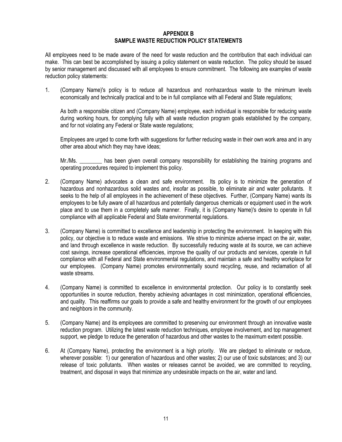#### **APPENDIX B SAMPLE WASTE REDUCTION POLICY STATEMENTS**

All employees need to be made aware of the need for waste reduction and the contribution that each individual can make. This can best be accomplished by issuing a policy statement on waste reduction. The policy should be issued by senior management and discussed with all employees to ensure commitment. The following are examples of waste reduction policy statements:

1. (Company Name)'s policy is to reduce all hazardous and nonhazardous waste to the minimum levels economically and technically practical and to be in full compliance with all Federal and State regulations;

As both a responsible citizen and (Company Name) employee, each individual is responsible for reducing waste during working hours, for complying fully with all waste reduction program goals established by the company, and for not violating any Federal or State waste regulations;

Employees are urged to come forth with suggestions for further reducing waste in their own work area and in any other area about which they may have ideas;

Mr./Ms. \_\_\_\_\_\_\_\_ has been given overall company responsibility for establishing the training programs and operating procedures required to implement this policy.

- 2. (Company Name) advocates a clean and safe environment. Its policy is to minimize the generation of hazardous and nonhazardous solid wastes and, insofar as possible, to eliminate air and water pollutants. It seeks to the help of all employees in the achievement of these objectives. Further, (Company Name) wants its employees to be fully aware of all hazardous and potentially dangerous chemicals or equipment used in the work place and to use them in a completely safe manner. Finally, it is (Company Name)'s desire to operate in full compliance with all applicable Federal and State environmental regulations.
- 3. (Company Name) is committed to excellence and leadership in protecting the environment. In keeping with this policy, our objective is to reduce waste and emissions. We strive to minimize adverse impact on the air, water, and land through excellence in waste reduction. By successfully reducing waste at its source, we can achieve cost savings, increase operational efficiencies, improve the quality of our products and services, operate in full compliance with all Federal and State environmental regulations, and maintain a safe and healthy workplace for our employees. (Company Name) promotes environmentally sound recycling, reuse, and reclamation of all waste streams.
- 4. (Company Name) is committed to excellence in environmental protection. Our policy is to constantly seek opportunities in source reduction, thereby achieving advantages in cost minimization, operational efficiencies, and quality. This reaffirms our goals to provide a safe and healthy environment for the growth of our employees and neighbors in the community.
- 5. (Company Name) and its employees are committed to preserving our environment through an innovative waste reduction program. Utilizing the latest waste reduction techniques, employee involvement, and top management support, we pledge to reduce the generation of hazardous and other wastes to the maximum extent possible.
- 6. At (Company Name), protecting the environment is a high priority. We are pledged to eliminate or reduce, wherever possible: 1) our generation of hazardous and other wastes; 2) our use of toxic substances; and 3) our release of toxic pollutants. When wastes or releases cannot be avoided, we are committed to recycling, treatment, and disposal in ways that minimize any undesirable impacts on the air, water and land.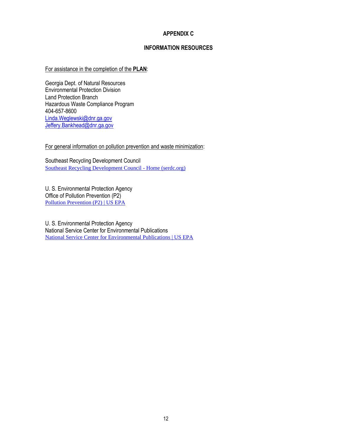#### **APPENDIX C**

#### **INFORMATION RESOURCES**

#### For assistance in the completion of the **PLAN**:

Georgia Dept. of Natural Resources Environmental Protection Division Land Protection Branch Hazardous Waste Compliance Program 404-657-8600 [Linda.Weglewski@dnr.ga.gov](mailto:Linda.Weglewski@dnr.ga.gov) [Jeffery.Bankhead@dnr.ga.gov](mailto:Jeffery.Bankhead@dnr.ga.gov)

For general information on pollution prevention and waste minimization:

Southeast Recycling Development Council [Southeast Recycling Development Council -](https://serdc.org/) Home (serdc.org)

U. S. Environmental Protection Agency Office of Pollution Prevention (P2) [Pollution Prevention \(P2\) | US EPA](https://www.epa.gov/p2)

U. S. Environmental Protection Agency National Service Center for Environmental Publications [National Service Center for Environmental Publications | US EPA](https://www.epa.gov/nscep)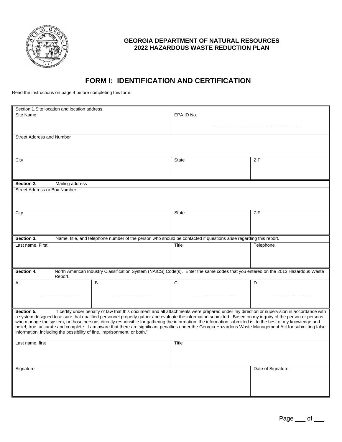

## **FORM I: IDENTIFICATION AND CERTIFICATION**

Read the instructions on page 4 before completing this form.

| Section 1. Site location and location address.                          |                                                                                                                                                                                                                                                                                                                        |              |                   |  |
|-------------------------------------------------------------------------|------------------------------------------------------------------------------------------------------------------------------------------------------------------------------------------------------------------------------------------------------------------------------------------------------------------------|--------------|-------------------|--|
| <b>Site Name</b>                                                        |                                                                                                                                                                                                                                                                                                                        | EPA ID No.   |                   |  |
|                                                                         |                                                                                                                                                                                                                                                                                                                        |              |                   |  |
|                                                                         |                                                                                                                                                                                                                                                                                                                        |              |                   |  |
| <b>Street Address and Number</b>                                        |                                                                                                                                                                                                                                                                                                                        |              |                   |  |
|                                                                         |                                                                                                                                                                                                                                                                                                                        |              |                   |  |
|                                                                         |                                                                                                                                                                                                                                                                                                                        |              |                   |  |
|                                                                         |                                                                                                                                                                                                                                                                                                                        |              |                   |  |
| City                                                                    |                                                                                                                                                                                                                                                                                                                        | <b>State</b> | ZIP               |  |
|                                                                         |                                                                                                                                                                                                                                                                                                                        |              |                   |  |
|                                                                         |                                                                                                                                                                                                                                                                                                                        |              |                   |  |
| Section 2.<br>Mailing address                                           |                                                                                                                                                                                                                                                                                                                        |              |                   |  |
| <b>Street Address or Box Number</b>                                     |                                                                                                                                                                                                                                                                                                                        |              |                   |  |
|                                                                         |                                                                                                                                                                                                                                                                                                                        |              |                   |  |
|                                                                         |                                                                                                                                                                                                                                                                                                                        |              |                   |  |
|                                                                         |                                                                                                                                                                                                                                                                                                                        |              |                   |  |
| City                                                                    |                                                                                                                                                                                                                                                                                                                        | State        | ZIP               |  |
|                                                                         |                                                                                                                                                                                                                                                                                                                        |              |                   |  |
|                                                                         |                                                                                                                                                                                                                                                                                                                        |              |                   |  |
|                                                                         |                                                                                                                                                                                                                                                                                                                        |              |                   |  |
| Section 3.                                                              | Name, title, and telephone number of the person who should be contacted if questions arise regarding this report.                                                                                                                                                                                                      |              |                   |  |
| Last name, First                                                        |                                                                                                                                                                                                                                                                                                                        | Title        | Telephone         |  |
|                                                                         |                                                                                                                                                                                                                                                                                                                        |              |                   |  |
|                                                                         |                                                                                                                                                                                                                                                                                                                        |              |                   |  |
|                                                                         |                                                                                                                                                                                                                                                                                                                        |              |                   |  |
| Section 4.                                                              | North American Industry Classification System (NAICS) Code(s). Enter the same codes that you entered on the 2013 Hazardous Waste                                                                                                                                                                                       |              |                   |  |
| Report.<br>Α.                                                           | <b>B.</b>                                                                                                                                                                                                                                                                                                              | C.           | D.                |  |
|                                                                         |                                                                                                                                                                                                                                                                                                                        |              |                   |  |
|                                                                         |                                                                                                                                                                                                                                                                                                                        |              |                   |  |
|                                                                         |                                                                                                                                                                                                                                                                                                                        |              |                   |  |
|                                                                         |                                                                                                                                                                                                                                                                                                                        |              |                   |  |
| Section 5.                                                              | "I certify under penalty of law that this document and all attachments were prepared under my direction or supervision in accordance with                                                                                                                                                                              |              |                   |  |
|                                                                         | a system designed to assure that qualified personnel properly gather and evaluate the information submitted. Based on my inquiry of the person or persons<br>who manage the system, or those persons directly responsible for gathering the information, the information submitted is, to the best of my knowledge and |              |                   |  |
|                                                                         | belief, true, accurate and complete. I am aware that there are significant penalties under the Georgia Hazardous Waste Management Act for submitting false                                                                                                                                                             |              |                   |  |
| information, including the possibility of fine, imprisonment, or both." |                                                                                                                                                                                                                                                                                                                        |              |                   |  |
|                                                                         |                                                                                                                                                                                                                                                                                                                        |              |                   |  |
| Last name, first                                                        |                                                                                                                                                                                                                                                                                                                        | Title        |                   |  |
|                                                                         |                                                                                                                                                                                                                                                                                                                        |              |                   |  |
|                                                                         |                                                                                                                                                                                                                                                                                                                        |              |                   |  |
|                                                                         |                                                                                                                                                                                                                                                                                                                        |              |                   |  |
| Signature                                                               |                                                                                                                                                                                                                                                                                                                        |              | Date of Signature |  |
|                                                                         |                                                                                                                                                                                                                                                                                                                        |              |                   |  |
|                                                                         |                                                                                                                                                                                                                                                                                                                        |              |                   |  |
|                                                                         |                                                                                                                                                                                                                                                                                                                        |              |                   |  |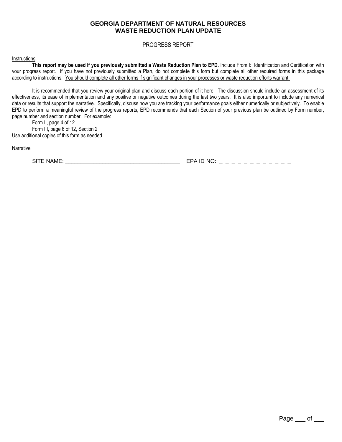#### **GEORGIA DEPARTMENT OF NATURAL RESOURCES WASTE REDUCTION PLAN UPDATE**

#### PROGRESS REPORT

#### Instructions

**This report may be used if you previously submitted a Waste Reduction Plan to EPD.** Include From I: Identification and Certification with your progress report. If you have not previously submitted a Plan, do not complete this form but complete all other required forms in this package according to instructions. You should complete all other forms if significant changes in your processes or waste reduction efforts warrant.

It is recommended that you review your original plan and discuss each portion of it here. The discussion should include an assessment of its effectiveness, its ease of implementation and any positive or negative outcomes during the last two years. It is also important to include any numerical data or results that support the narrative. Specifically, discuss how you are tracking your performance goals either numerically or subjectively. To enable EPD to perform a meaningful review of the progress reports, EPD recommends that each Section of your previous plan be outlined by Form number, page number and section number. For example:

Form II, page 4 of 12 Form III, page 6 of 12, Section 2 Use additional copies of this form as needed.

**Narrative** 

SITE NAME: \_\_\_\_\_\_\_\_\_\_\_\_\_\_\_\_\_\_\_\_\_\_\_\_\_\_\_\_\_\_\_\_\_\_\_\_\_ EPA ID NO: \_ \_ \_ \_ \_ \_ \_ \_ \_ \_ \_ \_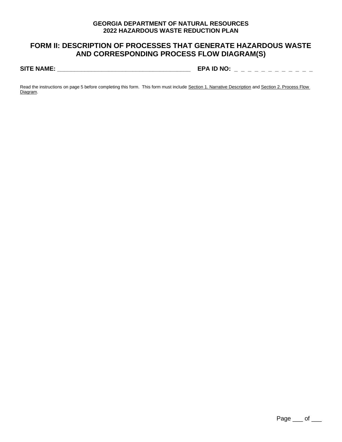### **FORM II: DESCRIPTION OF PROCESSES THAT GENERATE HAZARDOUS WASTE AND CORRESPONDING PROCESS FLOW DIAGRAM(S)**

**SITE NAME: \_\_\_\_\_\_\_\_\_\_\_\_\_\_\_\_\_\_\_\_\_\_\_\_\_\_\_\_\_\_\_\_\_\_\_\_\_\_\_ EPA ID NO: \_ \_ \_ \_ \_ \_ \_ \_ \_ \_ \_ \_**

Read the instructions on page 5 before completing this form. This form must include Section 1. Narrative Description and Section 2. Process Flow Diagram.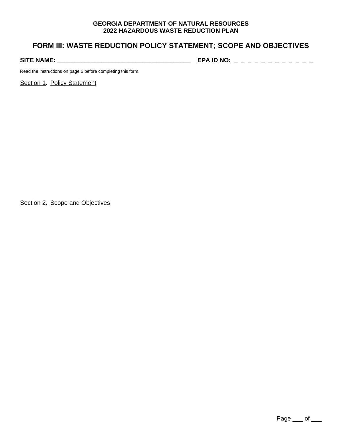### **FORM III: WASTE REDUCTION POLICY STATEMENT; SCOPE AND OBJECTIVES**

**SITE NAME: \_\_\_\_\_\_\_\_\_\_\_\_\_\_\_\_\_\_\_\_\_\_\_\_\_\_\_\_\_\_\_\_\_\_\_\_\_\_\_ EPA ID NO: \_ \_ \_ \_ \_ \_ \_ \_ \_ \_ \_ \_** 

Read the instructions on page 6 before completing this form.

Section 1. Policy Statement

Section 2. Scope and Objectives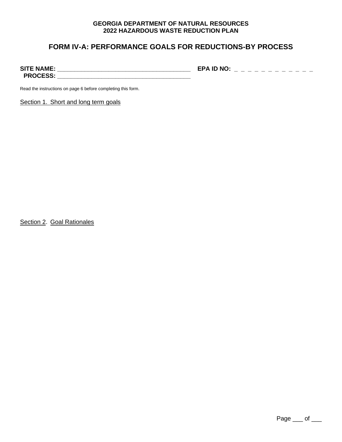### **FORM IV-A: PERFORMANCE GOALS FOR REDUCTIONS-BY PROCESS**

**SITE NAME: \_\_\_\_\_\_\_\_\_\_\_\_\_\_\_\_\_\_\_\_\_\_\_\_\_\_\_\_\_\_\_\_\_\_\_\_\_\_\_ EPA ID NO: \_ \_ \_ \_ \_ \_ \_ \_ \_ \_ \_ \_ PROCESS: \_\_\_\_\_\_\_\_\_\_\_\_\_\_\_\_\_\_\_\_\_\_\_\_\_\_\_\_\_\_\_\_\_\_\_\_\_\_\_**

Read the instructions on page 6 before completing this form.

Section 1. Short and long term goals

Section 2. Goal Rationales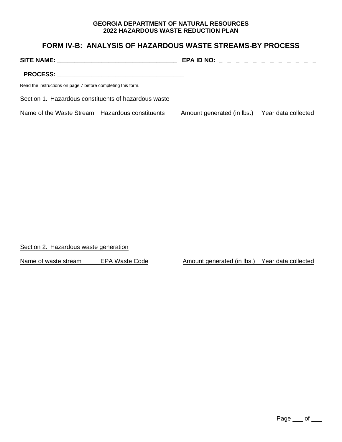### **FORM IV-B: ANALYSIS OF HAZARDOUS WASTE STREAMS-BY PROCESS**

**SITE NAME: \_\_\_\_\_\_\_\_\_\_\_\_\_\_\_\_\_\_\_\_\_\_\_\_\_\_\_\_\_\_\_\_\_\_\_ EPA ID NO: \_ \_ \_ \_ \_ \_ \_ \_ \_ \_ \_ \_** 

**PROCESS: \_\_\_\_\_\_\_\_\_\_\_\_\_\_\_\_\_\_\_\_\_\_\_\_\_\_\_\_\_\_\_\_\_\_\_\_\_**

Read the instructions on page 7 before completing this form.

Section 1. Hazardous constituents of hazardous waste

Name of the Waste Stream Hazardous constituents Amount generated (in lbs.) Year data collected

Section 2. Hazardous waste generation

Name of waste stream EPA Waste Code Amount generated (in lbs.) Year data collected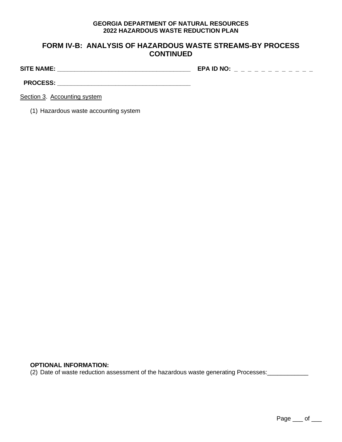### **FORM IV-B: ANALYSIS OF HAZARDOUS WASTE STREAMS-BY PROCESS CONTINUED**

**SITE NAME: \_\_\_\_\_\_\_\_\_\_\_\_\_\_\_\_\_\_\_\_\_\_\_\_\_\_\_\_\_\_\_\_\_\_\_\_\_\_\_ EPA ID NO: \_ \_ \_ \_ \_ \_ \_ \_ \_ \_ \_ \_** 

**PROCESS: \_\_\_\_\_\_\_\_\_\_\_\_\_\_\_\_\_\_\_\_\_\_\_\_\_\_\_\_\_\_\_\_\_\_\_\_\_\_\_**

Section 3. Accounting system

(1) Hazardous waste accounting system

### **OPTIONAL INFORMATION:**

(2) Date of waste reduction assessment of the hazardous waste generating Processes: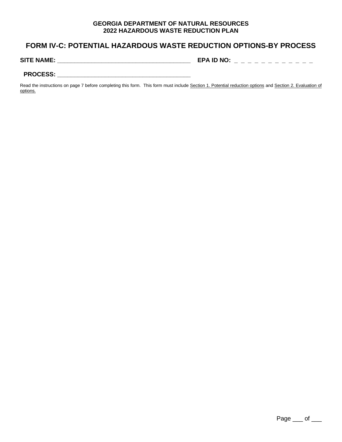### **FORM IV-C: POTENTIAL HAZARDOUS WASTE REDUCTION OPTIONS-BY PROCESS**

**SITE NAME: \_\_\_\_\_\_\_\_\_\_\_\_\_\_\_\_\_\_\_\_\_\_\_\_\_\_\_\_\_\_\_\_\_\_\_\_\_\_\_ EPA ID NO: \_ \_ \_ \_ \_ \_ \_ \_ \_ \_ \_ \_** 

#### PROCESS: **with a set of the set of the set of the set of the set of the set of the set of the set of the set of the set of the set of the set of the set of the set of the set of the set of the set of the set of the set of**

Read the instructions on page 7 before completing this form. This form must include Section 1. Potential reduction options and Section 2. Evaluation of options.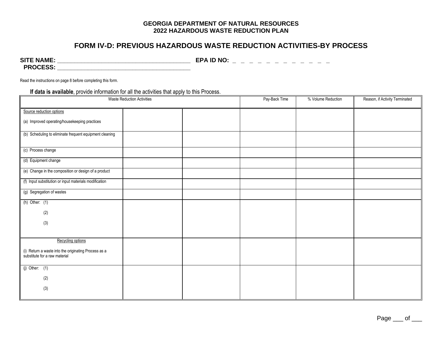### **FORM IV-D: PREVIOUS HAZARDOUS WASTE REDUCTION ACTIVITIES-BY PROCESS**

**SITE NAME: \_\_\_\_\_\_\_\_\_\_\_\_\_\_\_\_\_\_\_\_\_\_\_\_\_\_\_\_\_\_\_\_\_\_\_\_\_\_\_ EPA ID NO: \_ \_ \_ \_ \_ \_ \_ \_ \_ \_ \_ \_ PROCESS: \_\_\_\_\_\_\_\_\_\_\_\_\_\_\_\_\_\_\_\_\_\_\_\_\_\_\_\_\_\_\_\_\_\_\_\_\_\_\_**

Read the instructions on page 8 before completing this form.

|  | If data is available, provide information for all the activities that apply to this Process. |  |  |  |
|--|----------------------------------------------------------------------------------------------|--|--|--|
|--|----------------------------------------------------------------------------------------------|--|--|--|

|                                                                                       | <b>Waste Reduction Activities</b> | Pay-Back Time | % Volume Reduction | Reason, if Activity Terminated |
|---------------------------------------------------------------------------------------|-----------------------------------|---------------|--------------------|--------------------------------|
| Source reduction options                                                              |                                   |               |                    |                                |
| (a) Improved operating/housekeeping practices                                         |                                   |               |                    |                                |
| (b) Scheduling to eliminate frequent equipment cleaning                               |                                   |               |                    |                                |
| (c) Process change                                                                    |                                   |               |                    |                                |
| (d) Equipment change                                                                  |                                   |               |                    |                                |
| (e) Change in the composition or design of a product                                  |                                   |               |                    |                                |
| (f) Input substitution or input materials modification                                |                                   |               |                    |                                |
| (g) Segregation of wastes                                                             |                                   |               |                    |                                |
| $(h)$ Other: $(1)$                                                                    |                                   |               |                    |                                |
| (2)                                                                                   |                                   |               |                    |                                |
| (3)                                                                                   |                                   |               |                    |                                |
|                                                                                       |                                   |               |                    |                                |
| Recycling options                                                                     |                                   |               |                    |                                |
| (i) Return a waste into the originating Process as a<br>substitute for a raw material |                                   |               |                    |                                |
| $(j)$ Other: $(1)$                                                                    |                                   |               |                    |                                |
| (2)                                                                                   |                                   |               |                    |                                |
| (3)                                                                                   |                                   |               |                    |                                |
|                                                                                       |                                   |               |                    |                                |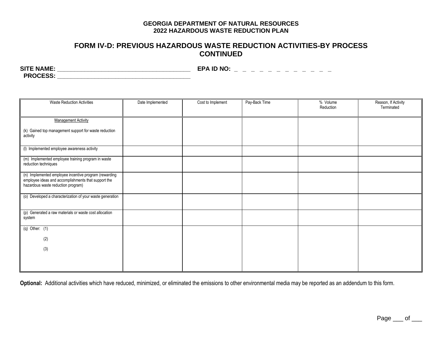### **FORM IV-D: PREVIOUS HAZARDOUS WASTE REDUCTION ACTIVITIES-BY PROCESS CONTINUED**

**SITE NAME: \_\_\_\_\_\_\_\_\_\_\_\_\_\_\_\_\_\_\_\_\_\_\_\_\_\_\_\_\_\_\_\_\_\_\_\_\_\_\_ EPA ID NO: \_ \_ \_ \_ \_ \_ \_ \_ \_ \_ \_ \_ PROCESS: \_\_\_\_\_\_\_\_\_\_\_\_\_\_\_\_\_\_\_\_\_\_\_\_\_\_\_\_\_\_\_\_\_\_\_\_\_\_\_**

| <b>Waste Reduction Activities</b>                                                                                                                  | Date Implemented | Cost to Implement | Pay-Back Time | % Volume<br>Reduction | Reason, If Activity<br>Terminated |
|----------------------------------------------------------------------------------------------------------------------------------------------------|------------------|-------------------|---------------|-----------------------|-----------------------------------|
| <b>Management Activity</b>                                                                                                                         |                  |                   |               |                       |                                   |
| (k) Gained top management support for waste reduction<br>activity                                                                                  |                  |                   |               |                       |                                   |
| (I) Implemented employee awareness activity                                                                                                        |                  |                   |               |                       |                                   |
| (m) Implemented employee training program in waste<br>reduction techniques                                                                         |                  |                   |               |                       |                                   |
| (n) Implemented employee incentive program (rewarding<br>employee ideas and accomplishments that support the<br>hazardous waste reduction program) |                  |                   |               |                       |                                   |
| (o) Developed a characterization of your waste generation                                                                                          |                  |                   |               |                       |                                   |
| (p) Generated a raw materials or waste cost allocation<br>system                                                                                   |                  |                   |               |                       |                                   |
| $(q)$ Other: $(1)$                                                                                                                                 |                  |                   |               |                       |                                   |
| (2)                                                                                                                                                |                  |                   |               |                       |                                   |
| (3)                                                                                                                                                |                  |                   |               |                       |                                   |
|                                                                                                                                                    |                  |                   |               |                       |                                   |

**Optional:** Additional activities which have reduced, minimized, or eliminated the emissions to other environmental media may be reported as an addendum to this form.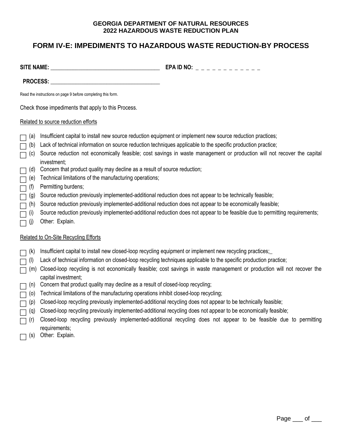### **FORM IV-E: IMPEDIMENTS TO HAZARDOUS WASTE REDUCTION-BY PROCESS**

| <b>SITE NAME:</b> | EPA ID NO:<br>_ _ _ _ _ _ _ _ _ _ _ _ _ |
|-------------------|-----------------------------------------|
|                   |                                         |

PROCESS: **with a set of the set of the set of the set of the set of the set of the set of the set of the set of the set of the set of the set of the set of the set of the set of the set of the set of the set of the set of** 

Read the instructions on page 9 before completing this form.

Check those impediments that apply to this Process.

#### Related to source reduction efforts

- $\Box$  (a) Insufficient capital to install new source reduction equipment or implement new source reduction practices;
- (b) Lack of technical information on source reduction techniques applicable to the specific production practice;
- (c) Source reduction not economically feasible; cost savings in waste management or production will not recover the capital investment;
- $\Box$  (d) Concern that product quality may decline as a result of source reduction;
- $\Box$  (e) Technical limitations of the manufacturing operations;
- $\Box$  (f) Permitting burdens;
- $\Box$  (g) Source reduction previously implemented-additional reduction does not appear to be technically feasible;
- $\Box$  (h) Source reduction previously implemented-additional reduction does not appear to be economically feasible;
- $\Box$  (i) Source reduction previously implemented-additional reduction does not appear to be feasible due to permitting requirements;
- $\Box$  (j) Other: Explain.

#### Related to On-Site Recycling Efforts

- $\Box$  (k) Insufficient capital to install new closed-loop recycling equipment or implement new recycling practices;
- (l) Lack of technical information on closed-loop recycling techniques applicable to the specific production practice;
- $\Box$  (m) Closed-loop recycling is not economically feasible; cost savings in waste management or production will not recover the capital investment;
- $\Box$  (n) Concern that product quality may decline as a result of closed-loop recycling;
- $\Box$  (o) Technical limitations of the manufacturing operations inhibit closed-loop recycling;
- (p) Closed-loop recycling previously implemented-additional recycling does not appear to be technically feasible;
- $\Box$  (q) Closed-loop recycling previously implemented-additional recycling does not appear to be economically feasible;
- $\Box$  (r) Closed-loop recycling previously implemented-additional recycling does not appear to be feasible due to permitting requirements;
- $\Box$  (s) Other: Explain.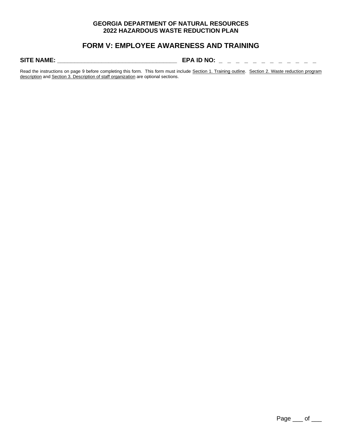### **FORM V: EMPLOYEE AWARENESS AND TRAINING**

**SITE NAME: \_\_\_\_\_\_\_\_\_\_\_\_\_\_\_\_\_\_\_\_\_\_\_\_\_\_\_\_\_\_\_\_\_\_\_ EPA ID NO: \_ \_ \_ \_ \_ \_ \_ \_ \_ \_ \_ \_** 

Read the instructions on page 9 before completing this form. This form must include Section 1. Training outline. Section 2. Waste reduction program description and Section 3. Description of staff organization are optional sections.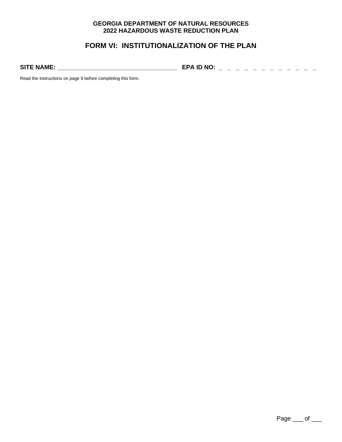### **FORM VI: INSTITUTIONALIZATION OF THE PLAN**

**SITE NAME: \_\_\_\_\_\_\_\_\_\_\_\_\_\_\_\_\_\_\_\_\_\_\_\_\_\_\_\_\_\_\_\_\_\_\_ EPA ID NO: \_ \_ \_ \_ \_ \_ \_ \_ \_ \_ \_ \_** 

Read the instructions on page 9 before completing this form.